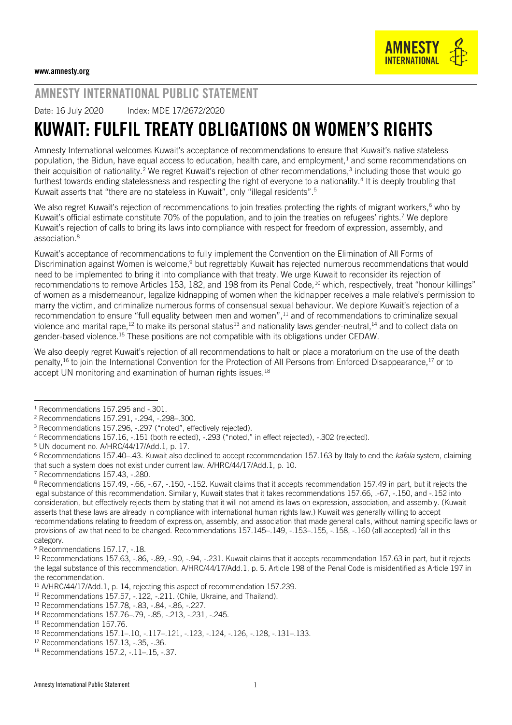## AMNESTY INTERNATIONAL PUBLIC STATEMENT

Date: 16 July 2020 Index: MDE 17/2672/2020

## KUWAIT: FULFIL TREATY OBLIGATIONS ON WOMEN'S RIGHTS

Amnesty International welcomes Kuwait's acceptance of recommendations to ensure that Kuwait's native stateless population, the Bidun, have equal access to education, health care, and employment, $1$  and some recommendations on their acquisition of nationality.<sup>2</sup> We regret Kuwait's rejection of other recommendations,<sup>3</sup> including those that would go furthest towards ending statelessness and respecting the right of everyone to a nationality.<sup>4</sup> It is deeply troubling that Kuwait asserts that "there are no stateless in Kuwait", only "illegal residents".<sup>5</sup>

We also regret Kuwait's rejection of recommendations to join treaties protecting the rights of migrant workers,<sup>6</sup> who by Kuwait's official estimate constitute 70% of the population, and to join the treaties on refugees' rights.<sup>7</sup> We deplore Kuwait's rejection of calls to bring its laws into compliance with respect for freedom of expression, assembly, and association.<sup>8</sup>

Kuwait's acceptance of recommendations to fully implement the Convention on the Elimination of All Forms of Discrimination against Women is welcome,<sup>9</sup> but regrettably Kuwait has rejected numerous recommendations that would need to be implemented to bring it into compliance with that treaty. We urge Kuwait to reconsider its rejection of recommendations to remove Articles 153, 182, and 198 from its Penal Code,<sup>10</sup> which, respectively, treat "honour killings" of women as a misdemeanour, legalize kidnapping of women when the kidnapper receives a male relative's permission to marry the victim, and criminalize numerous forms of consensual sexual behaviour. We deplore Kuwait's rejection of a recommendation to ensure "full equality between men and women",<sup>11</sup> and of recommendations to criminalize sexual violence and marital rape,<sup>12</sup> to make its personal status<sup>13</sup> and nationality laws gender-neutral,<sup>14</sup> and to collect data on gender-based violence.<sup>15</sup> These positions are not compatible with its obligations under CEDAW.

We also deeply regret Kuwait's rejection of all recommendations to halt or place a moratorium on the use of the death penalty,<sup>16</sup> to join the International Convention for the Protection of All Persons from Enforced Disappearance,<sup>17</sup> or to accept UN monitoring and examination of human rights issues.<sup>18</sup>

l  $1$  Recommendations 157, 295 and  $-301$ .

<sup>2</sup> Recommendations 157.291, -.294, -.298–.300.

<sup>&</sup>lt;sup>3</sup> Recommendations 157.296, -.297 ("noted", effectively rejected).

<sup>4</sup> Recommendations 157.16, -.151 (both rejected), -.293 ("noted," in effect rejected), -.302 (rejected).

<sup>5</sup> UN document no. A/HRC/44/17/Add.1, p. 17.

<sup>6</sup> Recommendations 157.40–.43. Kuwait also declined to accept recommendation 157.163 by Italy to end the *kafala* system, claiming that such a system does not exist under current law. A/HRC/44/17/Add.1, p. 10.

<sup>7</sup> Recommendations 157.43, -.280.

<sup>8</sup> Recommendations 157.49, -.66, -.67, -.150, -.152. Kuwait claims that it accepts recommendation 157.49 in part, but it rejects the legal substance of this recommendation. Similarly, Kuwait states that it takes recommendations 157.66, .-67, -.150, and -.152 into consideration, but effectively rejects them by stating that it will not amend its laws on expression, association, and assembly. (Kuwait asserts that these laws are already in compliance with international human rights law.) Kuwait was generally willing to accept recommendations relating to freedom of expression, assembly, and association that made general calls, without naming specific laws or provisions of law that need to be changed. Recommendations 157.145–.149, -.153–.155, -.158, -.160 (all accepted) fall in this category.

<sup>&</sup>lt;sup>9</sup> Recommendations 157.17, -.18.

<sup>&</sup>lt;sup>10</sup> Recommendations 157.63, -.86, -.89, -.90, -.94, -.231. Kuwait claims that it accepts recommendation 157.63 in part, but it rejects the legal substance of this recommendation. A/HRC/44/17/Add.1, p. 5. Article 198 of the Penal Code is misidentified as Article 197 in the recommendation.

<sup>&</sup>lt;sup>11</sup> A/HRC/44/17/Add.1, p. 14, rejecting this aspect of recommendation 157.239.

<sup>&</sup>lt;sup>12</sup> Recommendations 157.57, -.122, -.211. (Chile, Ukraine, and Thailand).

<sup>13</sup> Recommendations 157.78, -.83, -.84, -.86, -.227.

<sup>14</sup> Recommendations 157.76–.79, -.85, -.213, -.231, -.245.

<sup>&</sup>lt;sup>15</sup> Recommendation 157.76.

<sup>16</sup> Recommendations 157.1–.10, -.117–.121, -.123, -.124, -.126, -.128, -.131–.133.

<sup>17</sup> Recommendations 157.13, -.35, -.36.

<sup>18</sup> Recommendations 157.2, -.11–.15, -.37.